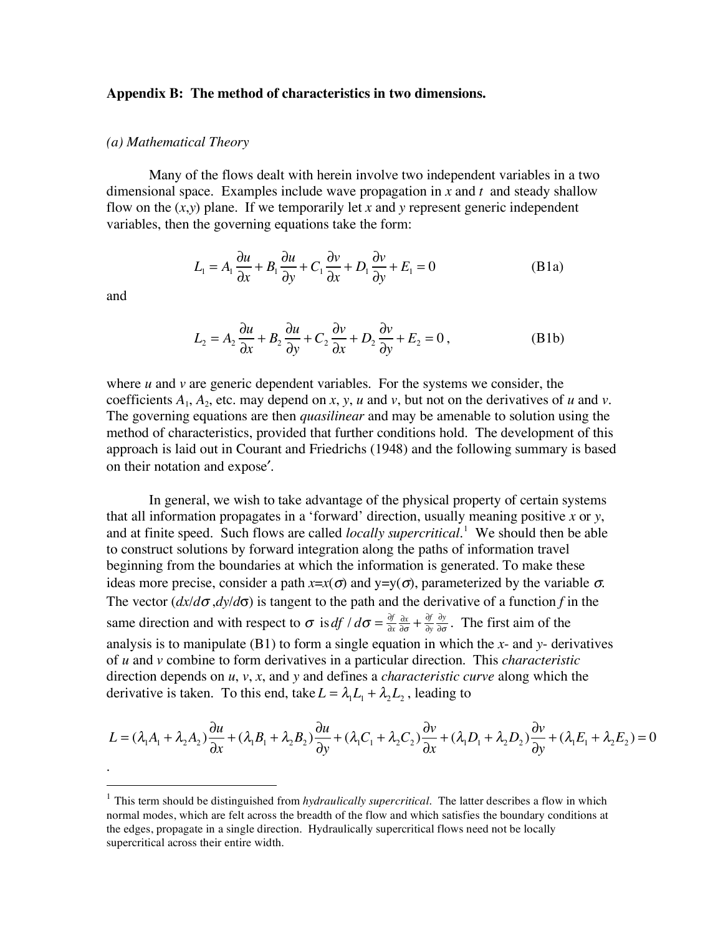## **Appendix B: The method of characteristics in two dimensions.**

## *(a) Mathematical Theory*

Many of the flows dealt with herein involve two independent variables in a two dimensional space. Examples include wave propagation in *x* and *t* and steady shallow flow on the  $(x, y)$  plane. If we temporarily let x and y represent generic independent variables, then the governing equations take the form:

$$
L_1 = A_1 \frac{\partial u}{\partial x} + B_1 \frac{\partial u}{\partial y} + C_1 \frac{\partial v}{\partial x} + D_1 \frac{\partial v}{\partial y} + E_1 = 0
$$
 (B1a)

and

.

$$
L_2 = A_2 \frac{\partial u}{\partial x} + B_2 \frac{\partial u}{\partial y} + C_2 \frac{\partial v}{\partial x} + D_2 \frac{\partial v}{\partial y} + E_2 = 0,
$$
 (B1b)

where  $u$  and  $v$  are generic dependent variables. For the systems we consider, the coefficients  $A_1$ ,  $A_2$ , etc. may depend on *x*, *y*, *u* and *v*, but not on the derivatives of *u* and *v*. The governing equations are then *quasilinear* and may be amenable to solution using the method of characteristics, provided that further conditions hold. The development of this approach is laid out in Courant and Friedrichs (1948) and the following summary is based on their notation and expose′.

In general, we wish to take advantage of the physical property of certain systems that all information propagates in a 'forward' direction, usually meaning positive *x* or *y*, and at finite speed. Such flows are called *locally supercritical*. <sup>1</sup> We should then be able to construct solutions by forward integration along the paths of information travel beginning from the boundaries at which the information is generated. To make these ideas more precise, consider a path  $x=x(\sigma)$  and  $y=y(\sigma)$ , parameterized by the variable  $\sigma$ . The vector  $\left(\frac{dx}{d\sigma},\frac{dy}{d\sigma}\right)$  is tangent to the path and the derivative of a function *f* in the same direction and with respect to  $\sigma$  is *df*  $/d\sigma = \frac{\partial f}{\partial r}$  $\partial x$  $\frac{\partial x}{\partial \sigma} + \frac{\partial f}{\partial y}$  $\frac{\partial y}{\partial \sigma}$ . The first aim of the analysis is to manipulate (B1) to form a single equation in which the *x*- and *y*- derivatives of *u* and *v* combine to form derivatives in a particular direction. This *characteristic* direction depends on *u*, *v*, *x*, and *y* and defines a *characteristic curve* along which the derivative is taken. To this end, take  $L = \lambda_1 L_1 + \lambda_2 L_2$ , leading to

$$
L = (\lambda_1 A_1 + \lambda_2 A_2) \frac{\partial u}{\partial x} + (\lambda_1 B_1 + \lambda_2 B_2) \frac{\partial u}{\partial y} + (\lambda_1 C_1 + \lambda_2 C_2) \frac{\partial v}{\partial x} + (\lambda_1 D_1 + \lambda_2 D_2) \frac{\partial v}{\partial y} + (\lambda_1 E_1 + \lambda_2 E_2) = 0
$$

 <sup>1</sup> This term should be distinguished from *hydraulically supercritical*. The latter describes <sup>a</sup> flow in which normal modes, which are felt across the breadth of the flow and which satisfies the boundary conditions at the edges, propagate in a single direction. Hydraulically supercritical flows need not be locally supercritical across their entire width.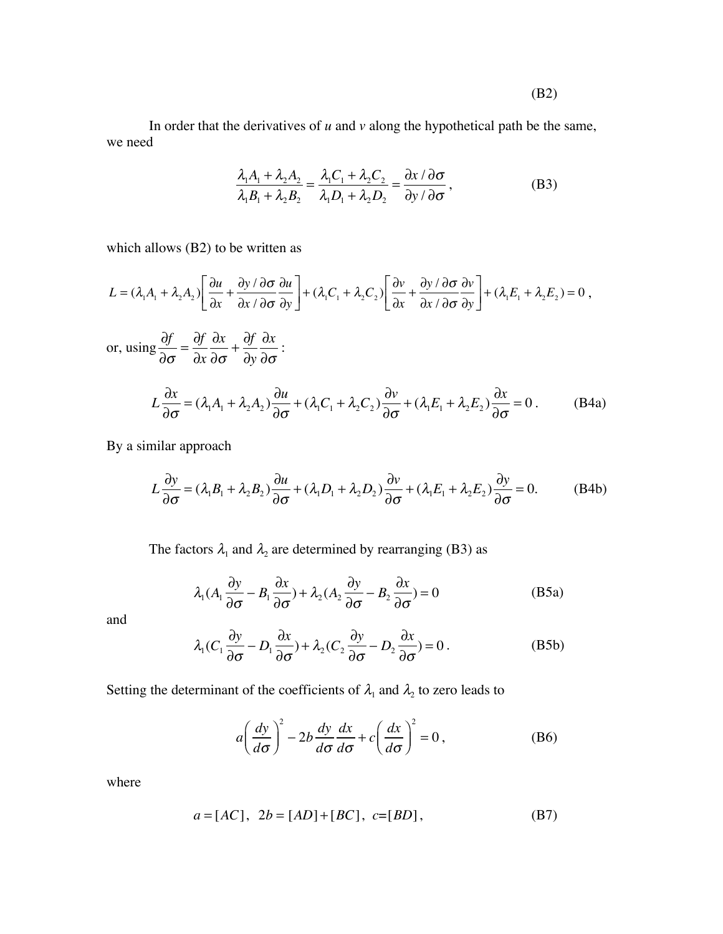In order that the derivatives of  $u$  and  $v$  along the hypothetical path be the same, we need

$$
\frac{\lambda_1 A_1 + \lambda_2 A_2}{\lambda_1 B_1 + \lambda_2 B_2} = \frac{\lambda_1 C_1 + \lambda_2 C_2}{\lambda_1 D_1 + \lambda_2 D_2} = \frac{\partial x / \partial \sigma}{\partial y / \partial \sigma},
$$
(B3)

which allows (B2) to be written as

$$
L = (\lambda_1 A_1 + \lambda_2 A_2) \left[ \frac{\partial u}{\partial x} + \frac{\partial y}{\partial x} \frac{\partial \sigma}{\partial x} \frac{\partial u}{\partial x} \right] + (\lambda_1 C_1 + \lambda_2 C_2) \left[ \frac{\partial v}{\partial x} + \frac{\partial y}{\partial x} \frac{\partial \sigma}{\partial x} \frac{\partial v}{\partial x} \right] + (\lambda_1 E_1 + \lambda_2 E_2) = 0,
$$

or, using  $\frac{\partial f}{\partial \sigma} = \frac{\partial f}{\partial x}\frac{\partial x}{\partial \sigma} + \frac{\partial f}{\partial y}\frac{\partial x}{\partial \sigma}$ :

$$
L\frac{\partial x}{\partial \sigma} = (\lambda_1 A_1 + \lambda_2 A_2) \frac{\partial u}{\partial \sigma} + (\lambda_1 C_1 + \lambda_2 C_2) \frac{\partial v}{\partial \sigma} + (\lambda_1 E_1 + \lambda_2 E_2) \frac{\partial x}{\partial \sigma} = 0.
$$
 (B4a)

By a similar approach

$$
L\frac{\partial y}{\partial \sigma} = (\lambda_1 B_1 + \lambda_2 B_2) \frac{\partial u}{\partial \sigma} + (\lambda_1 D_1 + \lambda_2 D_2) \frac{\partial v}{\partial \sigma} + (\lambda_1 E_1 + \lambda_2 E_2) \frac{\partial y}{\partial \sigma} = 0.
$$
 (B4b)

The factors  $\lambda_1$  and  $\lambda_2$  are determined by rearranging (B3) as

$$
\lambda_1 (A_1 \frac{\partial y}{\partial \sigma} - B_1 \frac{\partial x}{\partial \sigma}) + \lambda_2 (A_2 \frac{\partial y}{\partial \sigma} - B_2 \frac{\partial x}{\partial \sigma}) = 0
$$
 (B5a)

and

$$
\lambda_1(C_1 \frac{\partial y}{\partial \sigma} - D_1 \frac{\partial x}{\partial \sigma}) + \lambda_2(C_2 \frac{\partial y}{\partial \sigma} - D_2 \frac{\partial x}{\partial \sigma}) = 0.
$$
 (B5b)

Setting the determinant of the coefficients of  $\lambda_1$  and  $\lambda_2$  to zero leads to

$$
a\left(\frac{dy}{d\sigma}\right)^2 - 2b\frac{dy}{d\sigma}\frac{dx}{d\sigma} + c\left(\frac{dx}{d\sigma}\right)^2 = 0,
$$
 (B6)

where

$$
a = [AC], \ 2b = [AD] + [BC], \ c = [BD], \tag{B7}
$$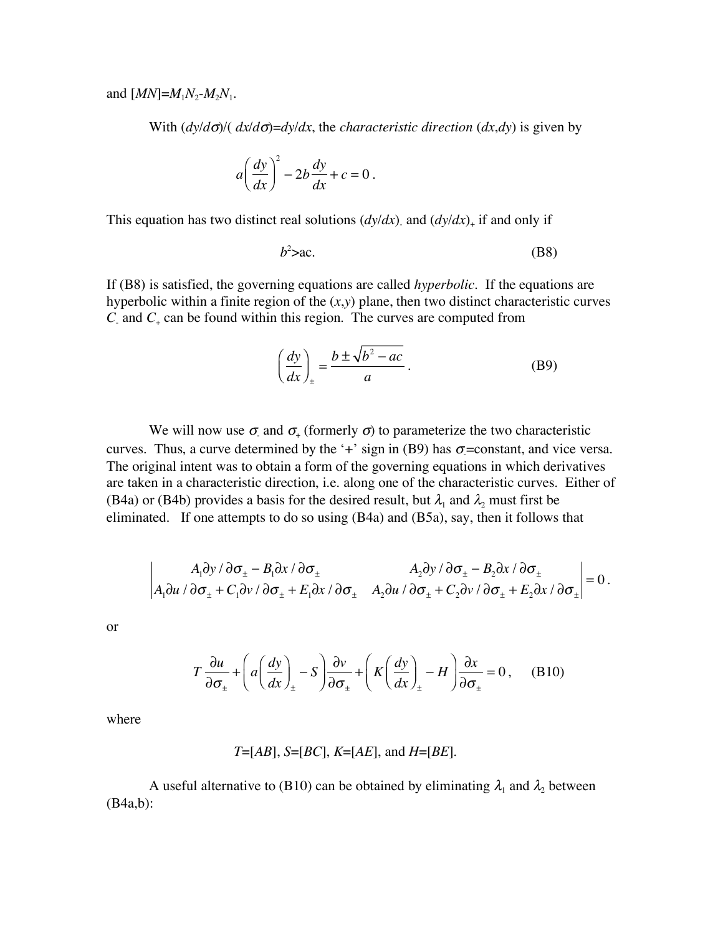and  $[MN] = M_1N_2-M_2N_1$ .

With  $\frac{dy}{d\sigma}$ / $\frac{dx}{d\sigma}$ = $\frac{dy}{dx}$ , the *characteristic direction*  $\frac{dx}{dy}$  is given by

$$
a\left(\frac{dy}{dx}\right)^2 - 2b\frac{dy}{dx} + c = 0.
$$

This equation has two distinct real solutions  $(dy/dx)$  and  $(dy/dx)$ <sub>+</sub> if and only if

$$
b^2 > ac. \tag{B8}
$$

If (B8) is satisfied, the governing equations are called *hyperbolic.* If the equations are hyperbolic within a finite region of the (*x*,*y*) plane, then two distinct characteristic curves  $C_$  and  $C_+$  can be found within this region. The curves are computed from

$$
\left(\frac{dy}{dx}\right)_{\pm} = \frac{b \pm \sqrt{b^2 - ac}}{a}.
$$
 (B9)

We will now use  $\sigma$  and  $\sigma$  (formerly  $\sigma$ ) to parameterize the two characteristic curves. Thus, a curve determined by the '+' sign in (B9) has  $\sigma$ =constant, and vice versa. The original intent was to obtain a form of the governing equations in which derivatives are taken in a characteristic direction, i.e. along one of the characteristic curves. Either of (B4a) or (B4b) provides a basis for the desired result, but  $\lambda_1$  and  $\lambda_2$  must first be eliminated. If one attempts to do so using (B4a) and (B5a), say, then it follows that

$$
\begin{vmatrix} A_1 \partial y / \partial \sigma_{\pm} - B_1 \partial x / \partial \sigma_{\pm} & A_2 \partial y / \partial \sigma_{\pm} - B_2 \partial x / \partial \sigma_{\pm} \\ A_1 \partial u / \partial \sigma_{\pm} + C_1 \partial v / \partial \sigma_{\pm} + E_1 \partial x / \partial \sigma_{\pm} & A_2 \partial u / \partial \sigma_{\pm} + C_2 \partial v / \partial \sigma_{\pm} + E_2 \partial x / \partial \sigma_{\pm} \end{vmatrix} = 0.
$$

or

$$
T\frac{\partial u}{\partial \sigma_{\pm}} + \left( a \left( \frac{dy}{dx} \right)_{\pm} - S \right) \frac{\partial v}{\partial \sigma_{\pm}} + \left( K \left( \frac{dy}{dx} \right)_{\pm} - H \right) \frac{\partial x}{\partial \sigma_{\pm}} = 0, \quad (B10)
$$

where

$$
T=[AB]
$$
,  $S=[BC]$ ,  $K=[AE]$ , and  $H=[BE]$ .

A useful alternative to (B10) can be obtained by eliminating  $\lambda_1$  and  $\lambda_2$  between (B4a,b):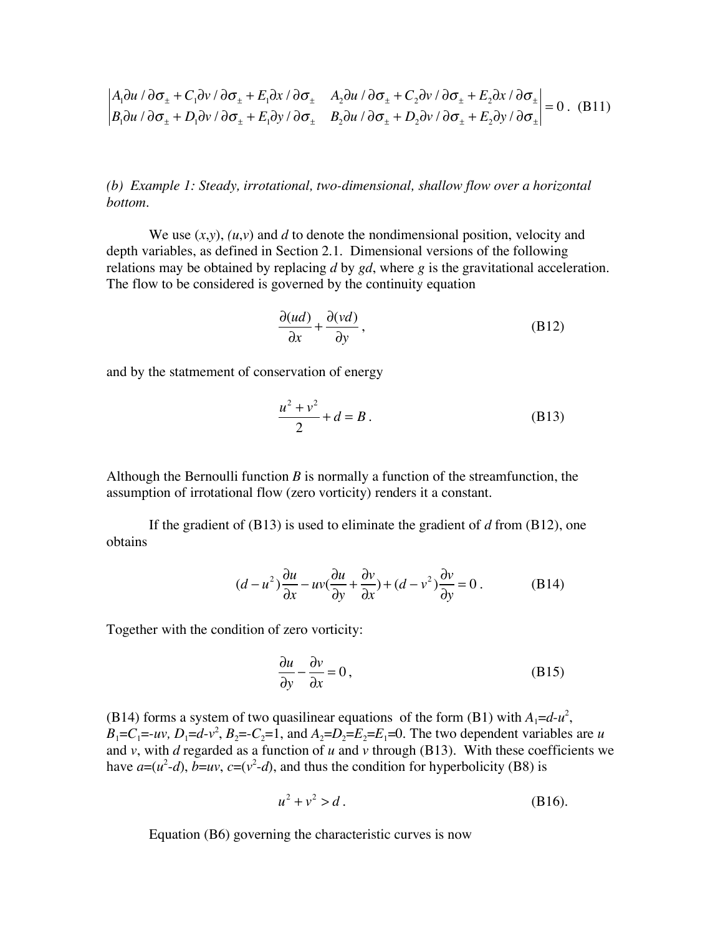$$
\begin{vmatrix} A_1 \partial u / \partial \sigma_{\pm} + C_1 \partial v / \partial \sigma_{\pm} + E_1 \partial x / \partial \sigma_{\pm} & A_2 \partial u / \partial \sigma_{\pm} + C_2 \partial v / \partial \sigma_{\pm} + E_2 \partial x / \partial \sigma_{\pm} \\ B_1 \partial u / \partial \sigma_{\pm} + D_1 \partial v / \partial \sigma_{\pm} + E_1 \partial y / \partial \sigma_{\pm} & B_2 \partial u / \partial \sigma_{\pm} + D_2 \partial v / \partial \sigma_{\pm} + E_2 \partial y / \partial \sigma_{\pm} \end{vmatrix} = 0. (B11)
$$

*(b) Example 1: Steady, irrotational, two-dimensional, shallow flow over a horizontal bottom.*

We use  $(x, y)$ ,  $(u, v)$  and *d* to denote the nondimensional position, velocity and depth variables, as defined in Section 2.1. Dimensional versions of the following relations may be obtained by replacing *d* by *gd*, where *g* is the gravitational acceleration. The flow to be considered is governed by the continuity equation

$$
\frac{\partial (ud)}{\partial x} + \frac{\partial (vd)}{\partial y},
$$
 (B12)

and by the statmement of conservation of energy

$$
\frac{u^2 + v^2}{2} + d = B.
$$
 (B13)

Although the Bernoulli function *B* is normally a function of the streamfunction, the assumption of irrotational flow (zero vorticity) renders it a constant.

If the gradient of (B13) is used to eliminate the gradient of *d* from (B12), one obtains

$$
(d - u^2)\frac{\partial u}{\partial x} - uv\left(\frac{\partial u}{\partial y} + \frac{\partial v}{\partial x}\right) + (d - v^2)\frac{\partial v}{\partial y} = 0.
$$
 (B14)

Together with the condition of zero vorticity:

$$
\frac{\partial u}{\partial y} - \frac{\partial v}{\partial x} = 0,
$$
 (B15)

(B14) forms a system of two quasilinear equations of the form (B1) with  $A_1 = d - u^2$ ,  $B_1 = C_1 = -uv$ ,  $D_1 = d - v^2$ ,  $B_2 = -C_2 = 1$ , and  $A_2 = D_2 = E_2 = E_1 = 0$ . The two dependent variables are *u* and *v*, with *d* regarded as a function of *u* and *v* through (B13). With these coefficients we have  $a=(u^2-d)$ ,  $b=uv$ ,  $c=(v^2-d)$ , and thus the condition for hyperbolicity (B8) is

$$
u^2 + v^2 > d \,. \tag{B16}
$$

Equation (B6) governing the characteristic curves is now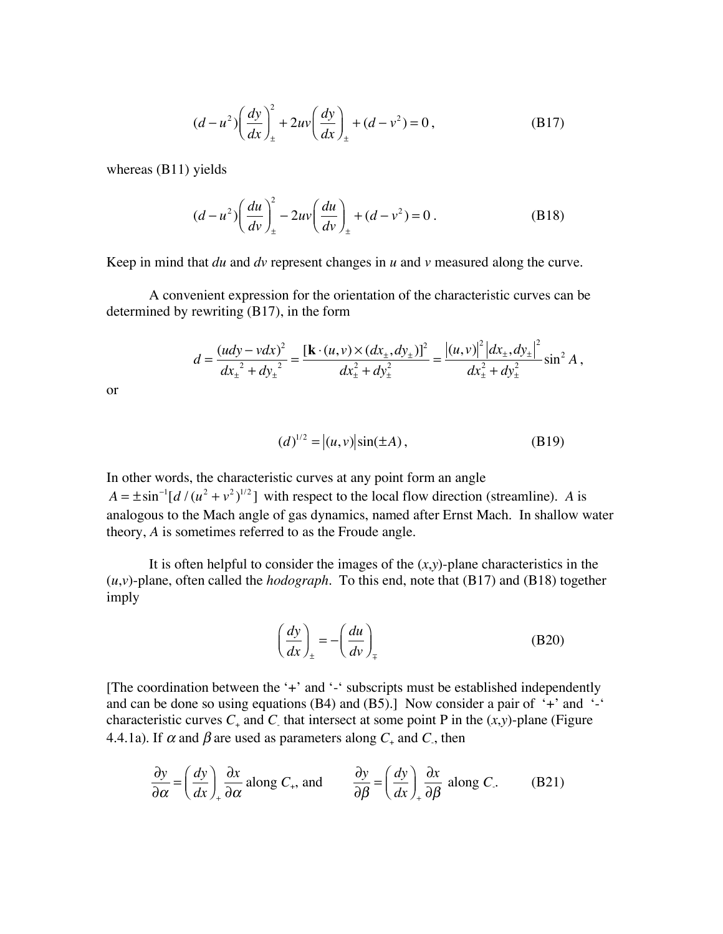$$
(d - u2) \left(\frac{dy}{dx}\right)_{\pm}^{2} + 2uv \left(\frac{dy}{dx}\right)_{\pm} + (d - v^{2}) = 0,
$$
 (B17)

whereas (B11) yields

$$
(d - u2) \left(\frac{du}{dv}\right)_{\pm}^{2} - 2uv \left(\frac{du}{dv}\right)_{\pm} + (d - v^{2}) = 0.
$$
 (B18)

Keep in mind that *du* and *dv* represent changes in *u* and *v* measured along the curve.

A convenient expression for the orientation of the characteristic curves can be determined by rewriting (B17), in the form

$$
d = \frac{(udy - vdx)^2}{dx_{\pm}^2 + dy_{\pm}^2} = \frac{[\mathbf{k} \cdot (u, v) \times (dx_{\pm}, dy_{\pm})]^2}{dx_{\pm}^2 + dy_{\pm}^2} = \frac{|(u, v)|^2 |dx_{\pm}, dy_{\pm}|^2}{dx_{\pm}^2 + dy_{\pm}^2} \sin^2 A,
$$

or

$$
(d)^{1/2} = |(u, v)|\sin(\pm A), \tag{B19}
$$

In other words, the characteristic curves at any point form an angle  $A = \pm \sin^{-1}[d/(u^2 + v^2)^{1/2}]$  with respect to the local flow direction (streamline). *A* is analogous to the Mach angle of gas dynamics, named after Ernst Mach. In shallow water theory, *A* is sometimes referred to as the Froude angle.

It is often helpful to consider the images of the  $(x, y)$ -plane characteristics in the (*u*,*v*)-plane, often called the *hodograph.* To this end, note that (B17) and (B18) together imply

$$
\left(\frac{dy}{dx}\right)_{\pm} = -\left(\frac{du}{dv}\right)_{\mp}
$$
\n(B20)

[The coordination between the '+' and '-' subscripts must be established independently and can be done so using equations (B4) and (B5).] Now consider a pair of  $+$  and  $$ characteristic curves  $C_+$  and  $C_+$  that intersect at some point P in the  $(x, y)$ -plane (Figure 4.4.1a). If  $\alpha$  and  $\beta$  are used as parameters along  $C_+$  and  $C_+$ , then

$$
\frac{\partial y}{\partial \alpha} = \left(\frac{dy}{dx}\right)_+ \frac{\partial x}{\partial \alpha} \text{ along } C_+, \text{ and } \frac{\partial y}{\partial \beta} = \left(\frac{dy}{dx}\right)_+ \frac{\partial x}{\partial \beta} \text{ along } C. \tag{B21}
$$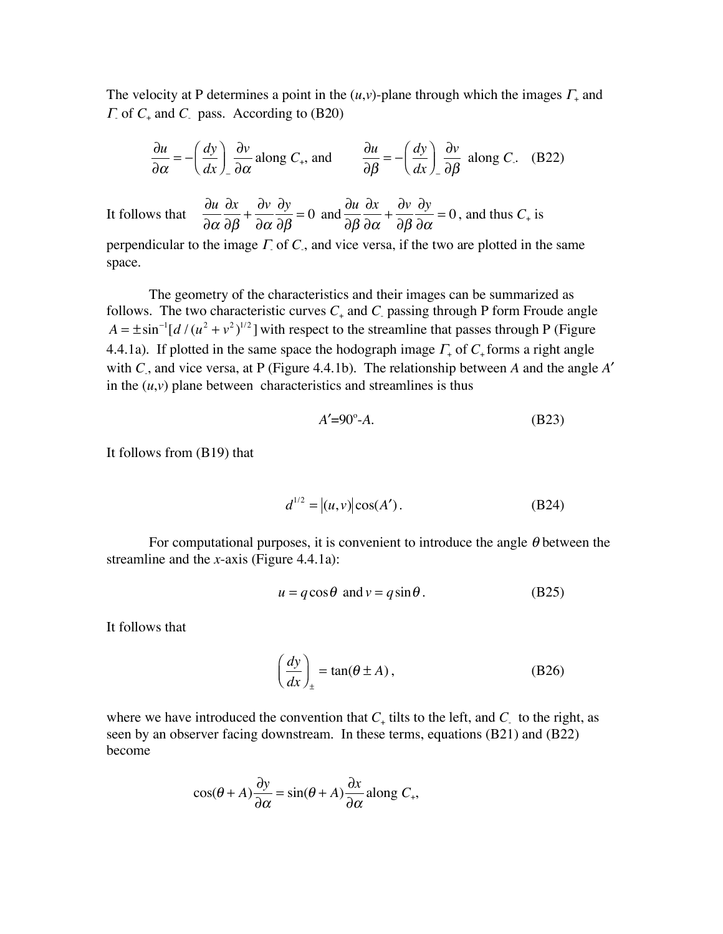The velocity at P determines a point in the  $(u, v)$ -plane through which the images  $\Gamma_+$  and <sup>Γ</sup>- of *C*<sup>+</sup> and *C*- pass. According to (B20)

$$
\frac{\partial u}{\partial \alpha} = -\left(\frac{dy}{dx}\right)_- \frac{\partial v}{\partial \alpha} \text{ along } C_+, \text{ and } \frac{\partial u}{\partial \beta} = -\left(\frac{dy}{dx}\right)_- \frac{\partial v}{\partial \beta} \text{ along } C. \quad (B22)
$$

It follows that  $\partial u$  $\partial \alpha$  $\partial x$  $\partial \beta$  $+\frac{\partial v}{\partial x}$  $\partial \alpha$  $\partial y$  $\partial \beta$  $= 0$  and  $\frac{\partial u}{\partial \theta}$  $\partial \beta$  $\partial x$  $\partial \alpha$  $+\frac{\partial v}{\partial \theta}$  $\partial \beta$ 

perpendicular to the image  $\Gamma$  of  $C$ , and vice versa, if the two are plotted in the same space.

The geometry of the characteristics and their images can be summarized as follows. The two characteristic curves  $C_+$  and  $C_+$  passing through P form Froude angle  $A = \pm \sin^{-1}[d/(u^2 + v^2)^{1/2}]$  with respect to the streamline that passes through P (Figure 4.4.1a). If plotted in the same space the hodograph image  $\Gamma_{+}$  of  $C_{+}$  forms a right angle with *C*- , and vice versa, at P (Figure 4.4.1b). The relationship between *A* and the angle *A*′ in the  $(u, v)$  plane between characteristics and streamlines is thus

$$
A' = 90^\circ - A. \tag{B23}
$$

 $\partial y$ 

 $\frac{\partial y}{\partial \alpha} = 0$ , and thus  $C_+$  is

It follows from (B19) that

$$
d^{1/2} = |(u, v)| \cos(A').
$$
 (B24)

For computational purposes, it is convenient to introduce the angle  $\theta$  between the streamline and the *x*-axis (Figure 4.4.1a):

$$
u = q\cos\theta \text{ and } v = q\sin\theta. \tag{B25}
$$

It follows that

$$
\left(\frac{dy}{dx}\right)_{\pm} = \tan(\theta \pm A),\tag{B26}
$$

where we have introduced the convention that  $C_{+}$  tilts to the left, and  $C_{-}$  to the right, as seen by an observer facing downstream. In these terms, equations (B21) and (B22) become

$$
\cos(\theta + A)\frac{\partial y}{\partial \alpha} = \sin(\theta + A)\frac{\partial x}{\partial \alpha} \text{ along } C_+,
$$